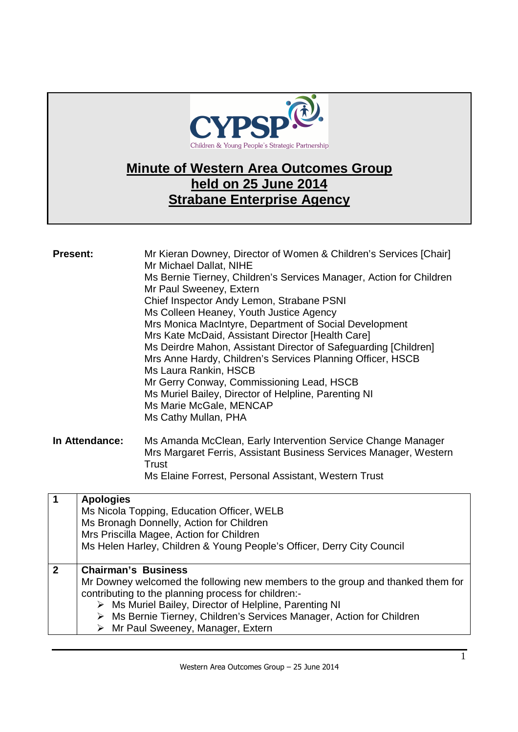

## **Minute of Western Area Outcomes Group held on 25 June 2014 Strabane Enterprise Agency**

| <b>Present:</b> |                            | Mr Kieran Downey, Director of Women & Children's Services [Chair]<br>Mr Michael Dallat, NIHE<br>Ms Bernie Tierney, Children's Services Manager, Action for Children<br>Mr Paul Sweeney, Extern<br>Chief Inspector Andy Lemon, Strabane PSNI<br>Ms Colleen Heaney, Youth Justice Agency<br>Mrs Monica MacIntyre, Department of Social Development<br>Mrs Kate McDaid, Assistant Director [Health Care]<br>Ms Deirdre Mahon, Assistant Director of Safeguarding [Children]<br>Mrs Anne Hardy, Children's Services Planning Officer, HSCB<br>Ms Laura Rankin, HSCB<br>Mr Gerry Conway, Commissioning Lead, HSCB<br>Ms Muriel Bailey, Director of Helpline, Parenting NI<br>Ms Marie McGale, MENCAP<br>Ms Cathy Mullan, PHA |
|-----------------|----------------------------|-------------------------------------------------------------------------------------------------------------------------------------------------------------------------------------------------------------------------------------------------------------------------------------------------------------------------------------------------------------------------------------------------------------------------------------------------------------------------------------------------------------------------------------------------------------------------------------------------------------------------------------------------------------------------------------------------------------------------|
| In Attendance:  |                            | Ms Amanda McClean, Early Intervention Service Change Manager<br>Mrs Margaret Ferris, Assistant Business Services Manager, Western<br><b>Trust</b><br>Ms Elaine Forrest, Personal Assistant, Western Trust                                                                                                                                                                                                                                                                                                                                                                                                                                                                                                               |
| $\overline{1}$  | <b>Apologies</b>           | Ms Nicola Topping, Education Officer, WELB<br>Ms Bronagh Donnelly, Action for Children<br>Mrs Priscilla Magee, Action for Children<br>Ms Helen Harley, Children & Young People's Officer, Derry City Council                                                                                                                                                                                                                                                                                                                                                                                                                                                                                                            |
| $\overline{2}$  | <b>Chairman's Business</b> | Mr Downey welcomed the following new members to the group and thanked them for<br>contributing to the planning process for children:-<br>> Ms Muriel Bailey, Director of Helpline, Parenting NI<br>> Ms Bernie Tierney, Children's Services Manager, Action for Children<br>> Mr Paul Sweeney, Manager, Extern                                                                                                                                                                                                                                                                                                                                                                                                          |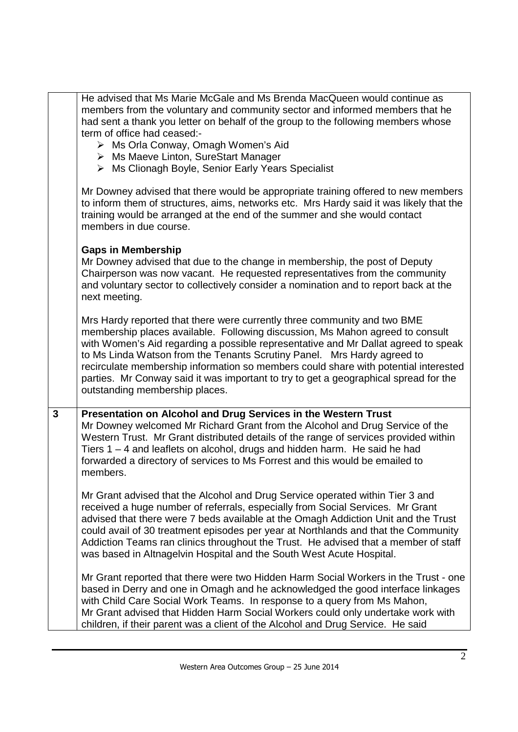|              | He advised that Ms Marie McGale and Ms Brenda MacQueen would continue as<br>members from the voluntary and community sector and informed members that he<br>had sent a thank you letter on behalf of the group to the following members whose<br>term of office had ceased:-<br>> Ms Orla Conway, Omagh Women's Aid<br>> Ms Maeve Linton, SureStart Manager<br>> Ms Clionagh Boyle, Senior Early Years Specialist                                                                                                                           |
|--------------|---------------------------------------------------------------------------------------------------------------------------------------------------------------------------------------------------------------------------------------------------------------------------------------------------------------------------------------------------------------------------------------------------------------------------------------------------------------------------------------------------------------------------------------------|
|              | Mr Downey advised that there would be appropriate training offered to new members<br>to inform them of structures, aims, networks etc. Mrs Hardy said it was likely that the<br>training would be arranged at the end of the summer and she would contact<br>members in due course.                                                                                                                                                                                                                                                         |
|              | <b>Gaps in Membership</b><br>Mr Downey advised that due to the change in membership, the post of Deputy<br>Chairperson was now vacant. He requested representatives from the community<br>and voluntary sector to collectively consider a nomination and to report back at the<br>next meeting.                                                                                                                                                                                                                                             |
|              | Mrs Hardy reported that there were currently three community and two BME<br>membership places available. Following discussion, Ms Mahon agreed to consult<br>with Women's Aid regarding a possible representative and Mr Dallat agreed to speak<br>to Ms Linda Watson from the Tenants Scrutiny Panel. Mrs Hardy agreed to<br>recirculate membership information so members could share with potential interested<br>parties. Mr Conway said it was important to try to get a geographical spread for the<br>outstanding membership places. |
| $\mathbf{3}$ | Presentation on Alcohol and Drug Services in the Western Trust<br>Mr Downey welcomed Mr Richard Grant from the Alcohol and Drug Service of the<br>Western Trust. Mr Grant distributed details of the range of services provided within<br>Tiers 1 – 4 and leaflets on alcohol, drugs and hidden harm. He said he had<br>forwarded a directory of services to Ms Forrest and this would be emailed to<br>members.                                                                                                                            |
|              | Mr Grant advised that the Alcohol and Drug Service operated within Tier 3 and<br>received a huge number of referrals, especially from Social Services. Mr Grant<br>advised that there were 7 beds available at the Omagh Addiction Unit and the Trust<br>could avail of 30 treatment episodes per year at Northlands and that the Community<br>Addiction Teams ran clinics throughout the Trust. He advised that a member of staff<br>was based in Altnagelvin Hospital and the South West Acute Hospital.                                  |
|              | Mr Grant reported that there were two Hidden Harm Social Workers in the Trust - one<br>based in Derry and one in Omagh and he acknowledged the good interface linkages<br>with Child Care Social Work Teams. In response to a query from Ms Mahon,<br>Mr Grant advised that Hidden Harm Social Workers could only undertake work with<br>children, if their parent was a client of the Alcohol and Drug Service. He said                                                                                                                    |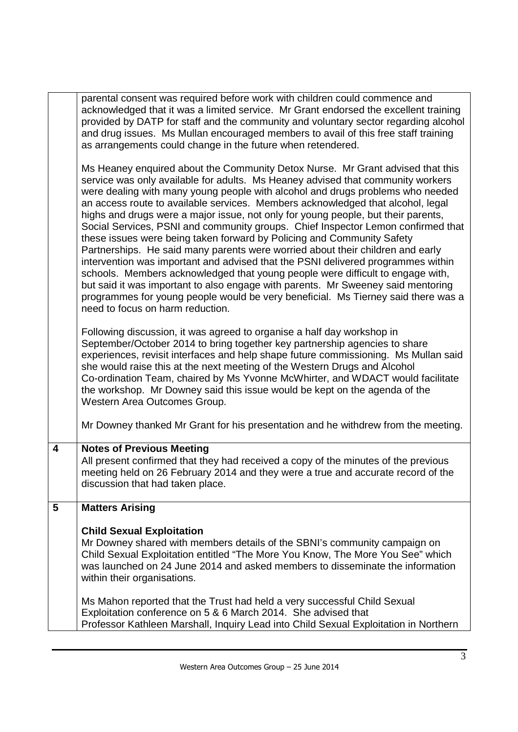|   | parental consent was required before work with children could commence and                                                                                                                                                                                                                                                                                                                                                                                                                                                                                                                                                                                                                                                                                                                                                                                                                                                                                                                                                                                     |
|---|----------------------------------------------------------------------------------------------------------------------------------------------------------------------------------------------------------------------------------------------------------------------------------------------------------------------------------------------------------------------------------------------------------------------------------------------------------------------------------------------------------------------------------------------------------------------------------------------------------------------------------------------------------------------------------------------------------------------------------------------------------------------------------------------------------------------------------------------------------------------------------------------------------------------------------------------------------------------------------------------------------------------------------------------------------------|
|   | acknowledged that it was a limited service. Mr Grant endorsed the excellent training                                                                                                                                                                                                                                                                                                                                                                                                                                                                                                                                                                                                                                                                                                                                                                                                                                                                                                                                                                           |
|   | provided by DATP for staff and the community and voluntary sector regarding alcohol                                                                                                                                                                                                                                                                                                                                                                                                                                                                                                                                                                                                                                                                                                                                                                                                                                                                                                                                                                            |
|   | and drug issues. Ms Mullan encouraged members to avail of this free staff training<br>as arrangements could change in the future when retendered.                                                                                                                                                                                                                                                                                                                                                                                                                                                                                                                                                                                                                                                                                                                                                                                                                                                                                                              |
|   |                                                                                                                                                                                                                                                                                                                                                                                                                                                                                                                                                                                                                                                                                                                                                                                                                                                                                                                                                                                                                                                                |
|   | Ms Heaney enquired about the Community Detox Nurse. Mr Grant advised that this<br>service was only available for adults. Ms Heaney advised that community workers<br>were dealing with many young people with alcohol and drugs problems who needed<br>an access route to available services. Members acknowledged that alcohol, legal<br>highs and drugs were a major issue, not only for young people, but their parents,<br>Social Services, PSNI and community groups. Chief Inspector Lemon confirmed that<br>these issues were being taken forward by Policing and Community Safety<br>Partnerships. He said many parents were worried about their children and early<br>intervention was important and advised that the PSNI delivered programmes within<br>schools. Members acknowledged that young people were difficult to engage with,<br>but said it was important to also engage with parents. Mr Sweeney said mentoring<br>programmes for young people would be very beneficial. Ms Tierney said there was a<br>need to focus on harm reduction. |
|   | Following discussion, it was agreed to organise a half day workshop in<br>September/October 2014 to bring together key partnership agencies to share<br>experiences, revisit interfaces and help shape future commissioning. Ms Mullan said<br>she would raise this at the next meeting of the Western Drugs and Alcohol<br>Co-ordination Team, chaired by Ms Yvonne McWhirter, and WDACT would facilitate<br>the workshop. Mr Downey said this issue would be kept on the agenda of the<br>Western Area Outcomes Group.<br>Mr Downey thanked Mr Grant for his presentation and he withdrew from the meeting.                                                                                                                                                                                                                                                                                                                                                                                                                                                  |
|   |                                                                                                                                                                                                                                                                                                                                                                                                                                                                                                                                                                                                                                                                                                                                                                                                                                                                                                                                                                                                                                                                |
| 4 | <b>Notes of Previous Meeting</b>                                                                                                                                                                                                                                                                                                                                                                                                                                                                                                                                                                                                                                                                                                                                                                                                                                                                                                                                                                                                                               |
|   | All present confirmed that they had received a copy of the minutes of the previous                                                                                                                                                                                                                                                                                                                                                                                                                                                                                                                                                                                                                                                                                                                                                                                                                                                                                                                                                                             |
|   | meeting held on 26 February 2014 and they were a true and accurate record of the                                                                                                                                                                                                                                                                                                                                                                                                                                                                                                                                                                                                                                                                                                                                                                                                                                                                                                                                                                               |
|   | discussion that had taken place.                                                                                                                                                                                                                                                                                                                                                                                                                                                                                                                                                                                                                                                                                                                                                                                                                                                                                                                                                                                                                               |
|   |                                                                                                                                                                                                                                                                                                                                                                                                                                                                                                                                                                                                                                                                                                                                                                                                                                                                                                                                                                                                                                                                |
| 5 | <b>Matters Arising</b>                                                                                                                                                                                                                                                                                                                                                                                                                                                                                                                                                                                                                                                                                                                                                                                                                                                                                                                                                                                                                                         |
|   | <b>Child Sexual Exploitation</b>                                                                                                                                                                                                                                                                                                                                                                                                                                                                                                                                                                                                                                                                                                                                                                                                                                                                                                                                                                                                                               |
|   | Mr Downey shared with members details of the SBNI's community campaign on                                                                                                                                                                                                                                                                                                                                                                                                                                                                                                                                                                                                                                                                                                                                                                                                                                                                                                                                                                                      |
|   | Child Sexual Exploitation entitled "The More You Know, The More You See" which                                                                                                                                                                                                                                                                                                                                                                                                                                                                                                                                                                                                                                                                                                                                                                                                                                                                                                                                                                                 |
|   | was launched on 24 June 2014 and asked members to disseminate the information                                                                                                                                                                                                                                                                                                                                                                                                                                                                                                                                                                                                                                                                                                                                                                                                                                                                                                                                                                                  |
|   | within their organisations.                                                                                                                                                                                                                                                                                                                                                                                                                                                                                                                                                                                                                                                                                                                                                                                                                                                                                                                                                                                                                                    |
|   |                                                                                                                                                                                                                                                                                                                                                                                                                                                                                                                                                                                                                                                                                                                                                                                                                                                                                                                                                                                                                                                                |
|   | Ms Mahon reported that the Trust had held a very successful Child Sexual                                                                                                                                                                                                                                                                                                                                                                                                                                                                                                                                                                                                                                                                                                                                                                                                                                                                                                                                                                                       |
|   | Exploitation conference on 5 & 6 March 2014. She advised that                                                                                                                                                                                                                                                                                                                                                                                                                                                                                                                                                                                                                                                                                                                                                                                                                                                                                                                                                                                                  |
|   | Professor Kathleen Marshall, Inquiry Lead into Child Sexual Exploitation in Northern                                                                                                                                                                                                                                                                                                                                                                                                                                                                                                                                                                                                                                                                                                                                                                                                                                                                                                                                                                           |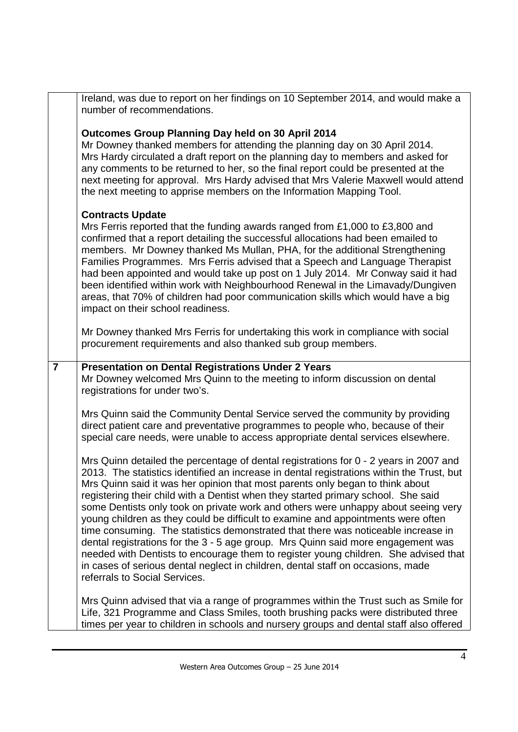|                | Ireland, was due to report on her findings on 10 September 2014, and would make a<br>number of recommendations.                                                                                                                                                                                                                                                                                                                                                                                                                                                                                                                                                                                                                                                                                                                                                                                                       |
|----------------|-----------------------------------------------------------------------------------------------------------------------------------------------------------------------------------------------------------------------------------------------------------------------------------------------------------------------------------------------------------------------------------------------------------------------------------------------------------------------------------------------------------------------------------------------------------------------------------------------------------------------------------------------------------------------------------------------------------------------------------------------------------------------------------------------------------------------------------------------------------------------------------------------------------------------|
|                | <b>Outcomes Group Planning Day held on 30 April 2014</b><br>Mr Downey thanked members for attending the planning day on 30 April 2014.<br>Mrs Hardy circulated a draft report on the planning day to members and asked for<br>any comments to be returned to her, so the final report could be presented at the<br>next meeting for approval. Mrs Hardy advised that Mrs Valerie Maxwell would attend<br>the next meeting to apprise members on the Information Mapping Tool.                                                                                                                                                                                                                                                                                                                                                                                                                                         |
|                | <b>Contracts Update</b><br>Mrs Ferris reported that the funding awards ranged from £1,000 to £3,800 and<br>confirmed that a report detailing the successful allocations had been emailed to<br>members. Mr Downey thanked Ms Mullan, PHA, for the additional Strengthening<br>Families Programmes. Mrs Ferris advised that a Speech and Language Therapist<br>had been appointed and would take up post on 1 July 2014. Mr Conway said it had<br>been identified within work with Neighbourhood Renewal in the Limavady/Dungiven<br>areas, that 70% of children had poor communication skills which would have a big<br>impact on their school readiness.                                                                                                                                                                                                                                                             |
|                | Mr Downey thanked Mrs Ferris for undertaking this work in compliance with social<br>procurement requirements and also thanked sub group members.                                                                                                                                                                                                                                                                                                                                                                                                                                                                                                                                                                                                                                                                                                                                                                      |
| $\overline{7}$ | <b>Presentation on Dental Registrations Under 2 Years</b><br>Mr Downey welcomed Mrs Quinn to the meeting to inform discussion on dental<br>registrations for under two's.                                                                                                                                                                                                                                                                                                                                                                                                                                                                                                                                                                                                                                                                                                                                             |
|                | Mrs Quinn said the Community Dental Service served the community by providing<br>direct patient care and preventative programmes to people who, because of their<br>special care needs, were unable to access appropriate dental services elsewhere.                                                                                                                                                                                                                                                                                                                                                                                                                                                                                                                                                                                                                                                                  |
|                | Mrs Quinn detailed the percentage of dental registrations for 0 - 2 years in 2007 and<br>2013. The statistics identified an increase in dental registrations within the Trust, but<br>Mrs Quinn said it was her opinion that most parents only began to think about<br>registering their child with a Dentist when they started primary school. She said<br>some Dentists only took on private work and others were unhappy about seeing very<br>young children as they could be difficult to examine and appointments were often<br>time consuming. The statistics demonstrated that there was noticeable increase in<br>dental registrations for the 3 - 5 age group. Mrs Quinn said more engagement was<br>needed with Dentists to encourage them to register young children. She advised that<br>in cases of serious dental neglect in children, dental staff on occasions, made<br>referrals to Social Services. |
|                | Mrs Quinn advised that via a range of programmes within the Trust such as Smile for<br>Life, 321 Programme and Class Smiles, tooth brushing packs were distributed three<br>times per year to children in schools and nursery groups and dental staff also offered                                                                                                                                                                                                                                                                                                                                                                                                                                                                                                                                                                                                                                                    |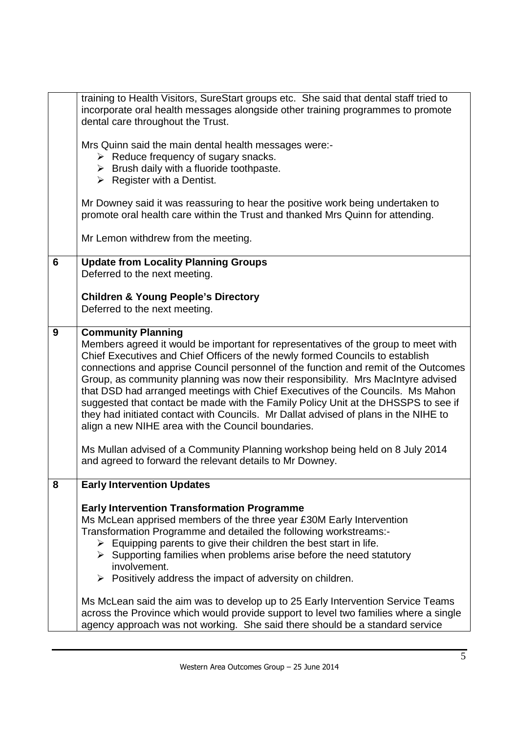|   | training to Health Visitors, SureStart groups etc. She said that dental staff tried to<br>incorporate oral health messages alongside other training programmes to promote                                                                                                                                                                                                                                                                                                                                                                                                                                                                                                                        |
|---|--------------------------------------------------------------------------------------------------------------------------------------------------------------------------------------------------------------------------------------------------------------------------------------------------------------------------------------------------------------------------------------------------------------------------------------------------------------------------------------------------------------------------------------------------------------------------------------------------------------------------------------------------------------------------------------------------|
|   | dental care throughout the Trust.                                                                                                                                                                                                                                                                                                                                                                                                                                                                                                                                                                                                                                                                |
|   | Mrs Quinn said the main dental health messages were:-                                                                                                                                                                                                                                                                                                                                                                                                                                                                                                                                                                                                                                            |
|   | $\triangleright$ Reduce frequency of sugary snacks.<br>$\triangleright$ Brush daily with a fluoride toothpaste.                                                                                                                                                                                                                                                                                                                                                                                                                                                                                                                                                                                  |
|   | $\triangleright$ Register with a Dentist.                                                                                                                                                                                                                                                                                                                                                                                                                                                                                                                                                                                                                                                        |
|   | Mr Downey said it was reassuring to hear the positive work being undertaken to<br>promote oral health care within the Trust and thanked Mrs Quinn for attending.                                                                                                                                                                                                                                                                                                                                                                                                                                                                                                                                 |
|   | Mr Lemon withdrew from the meeting.                                                                                                                                                                                                                                                                                                                                                                                                                                                                                                                                                                                                                                                              |
| 6 | <b>Update from Locality Planning Groups</b><br>Deferred to the next meeting.                                                                                                                                                                                                                                                                                                                                                                                                                                                                                                                                                                                                                     |
|   | <b>Children &amp; Young People's Directory</b><br>Deferred to the next meeting.                                                                                                                                                                                                                                                                                                                                                                                                                                                                                                                                                                                                                  |
| 9 | <b>Community Planning</b><br>Members agreed it would be important for representatives of the group to meet with<br>Chief Executives and Chief Officers of the newly formed Councils to establish<br>connections and apprise Council personnel of the function and remit of the Outcomes<br>Group, as community planning was now their responsibility. Mrs MacIntyre advised<br>that DSD had arranged meetings with Chief Executives of the Councils. Ms Mahon<br>suggested that contact be made with the Family Policy Unit at the DHSSPS to see if<br>they had initiated contact with Councils. Mr Dallat advised of plans in the NIHE to<br>align a new NIHE area with the Council boundaries. |
|   | Ms Mullan advised of a Community Planning workshop being held on 8 July 2014<br>and agreed to forward the relevant details to Mr Downey.                                                                                                                                                                                                                                                                                                                                                                                                                                                                                                                                                         |
| 8 | <b>Early Intervention Updates</b>                                                                                                                                                                                                                                                                                                                                                                                                                                                                                                                                                                                                                                                                |
|   | <b>Early Intervention Transformation Programme</b>                                                                                                                                                                                                                                                                                                                                                                                                                                                                                                                                                                                                                                               |
|   | Ms McLean apprised members of the three year £30M Early Intervention<br>Transformation Programme and detailed the following workstreams:-                                                                                                                                                                                                                                                                                                                                                                                                                                                                                                                                                        |
|   | $\triangleright$ Equipping parents to give their children the best start in life.                                                                                                                                                                                                                                                                                                                                                                                                                                                                                                                                                                                                                |
|   | $\triangleright$ Supporting families when problems arise before the need statutory<br>involvement.                                                                                                                                                                                                                                                                                                                                                                                                                                                                                                                                                                                               |
|   | $\triangleright$ Positively address the impact of adversity on children.                                                                                                                                                                                                                                                                                                                                                                                                                                                                                                                                                                                                                         |
|   | Ms McLean said the aim was to develop up to 25 Early Intervention Service Teams<br>across the Province which would provide support to level two families where a single<br>agency approach was not working. She said there should be a standard service                                                                                                                                                                                                                                                                                                                                                                                                                                          |